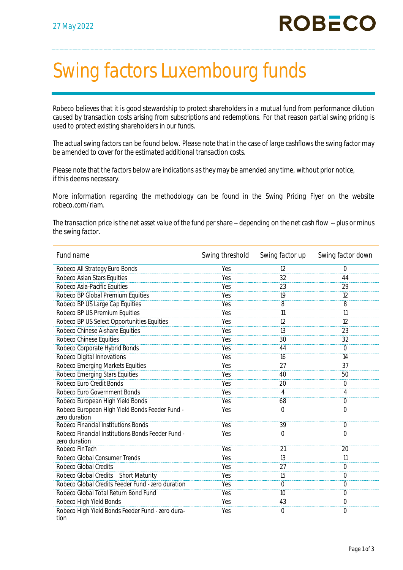## Swing factors Luxembourg funds

Robeco believes that it is good stewardship to protect shareholders in a mutual fund from performance dilution caused by transaction costs arising from subscriptions and redemptions. For that reason partial swing pricing is used to protect existing shareholders in our funds.

The actual swing factors can be found below. Please note that in the case of large cashflows the swing factor may be amended to cover for the estimated additional transaction costs.

Please note that the factors below are indications as they may be amended any time, without prior notice, if this deems necessary.

More information regarding the methodology can be found in the Swing Pricing Flyer on the website robeco.com/riam.

The transaction price is the net asset value of the fund per share -- depending on the net cash flow -- plus or minus the swing factor.

| Fund name                                                          | Swing threshold | Swing factor up | Swing factor down |
|--------------------------------------------------------------------|-----------------|-----------------|-------------------|
| Robeco All Strategy Euro Bonds                                     | Yes             | 12              | $\Omega$          |
| Robeco Asian Stars Equities                                        | Yes             | 32              | 44                |
| Robeco Asia-Pacific Equities                                       | Yes             | 23              | 29                |
| Robeco BP Global Premium Equities                                  | Yes             | 19              | 12                |
| Robeco BP US Large Cap Equities                                    | Yes             | 8               | 8                 |
| Robeco BP US Premium Equities                                      | Yes             | 11              | 11                |
| Robeco BP US Select Opportunities Equities                         | Yes             | 12              | $\overline{12}$   |
| Robeco Chinese A-share Equities                                    | Yes             | 13              | 23                |
| Robeco Chinese Equities                                            | Yes             | 30              | 32                |
| Robeco Corporate Hybrid Bonds                                      | Yes             | 44              | $\overline{0}$    |
| Robeco Digital Innovations                                         | Yes             | 16              | 14                |
| Robeco Emerging Markets Equities                                   | Yes             | 27              | 37                |
| <b>Robeco Emerging Stars Equities</b>                              | Yes             | 40              | 50                |
| Robeco Euro Credit Bonds                                           | Yes             | 20              | $\Omega$          |
| Robeco Euro Government Bonds                                       | Yes             | 4               | 4                 |
| Robeco European High Yield Bonds                                   | Yes             | 68              | $\overline{0}$    |
| Robeco European High Yield Bonds Feeder Fund -<br>zero duration    | Yes             | $\Omega$        | $\bigcap$         |
| Robeco Financial Institutions Bonds                                | Yes             | 39              | $\overline{O}$    |
| Robeco Financial Institutions Bonds Feeder Fund -<br>zero duration | Yes             | $\overline{0}$  | $\Omega$          |
| Robeco FinTech                                                     | Yes             | 21              | 20                |
| Robeco Global Consumer Trends                                      | Yes             | 13              | 11                |
| Robeco Global Credits                                              | Yes             | 27              | $\overline{0}$    |
| Robeco Global Credits - Short Maturity                             | Yes             | 15              | $\overline{O}$    |
| Robeco Global Credits Feeder Fund - zero duration                  | Yes             | $\overline{0}$  | $\overline{O}$    |
| Robeco Global Total Return Bond Fund                               | Yes             | 10              | $\Omega$          |
| Robeco High Yield Bonds                                            | Yes             | 43              | $\overline{O}$    |
| Robeco High Yield Bonds Feeder Fund - zero dura-<br>tion           | Yes             | $\mathcal{O}$   | $\overline{O}$    |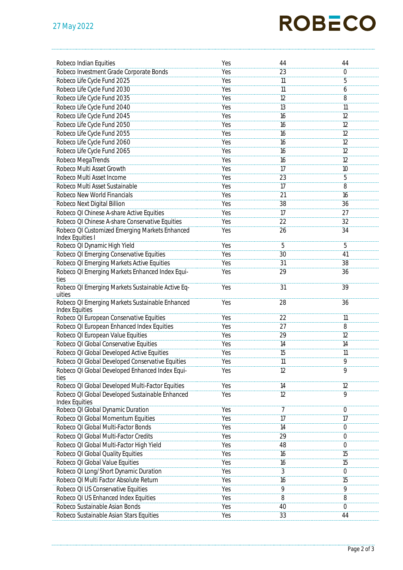## **ROBECO**

| Robeco Indian Equities                                            | Yes | 44              | 44             |
|-------------------------------------------------------------------|-----|-----------------|----------------|
| Robeco Investment Grade Corporate Bonds                           | Yes | 23              | $\overline{O}$ |
| Robeco Life Cycle Fund 2025                                       | Yes | 11              | $\overline{5}$ |
| Robeco Life Cycle Fund 2030                                       | Yes | 11              | 6              |
| Robeco Life Cycle Fund 2035                                       | Yes | 12              | 8              |
| Robeco Life Cycle Fund 2040                                       | Yes | 13              | 11             |
|                                                                   |     |                 |                |
| Robeco Life Cycle Fund 2045                                       | Yes | 16              | 12             |
| Robeco Life Cycle Fund 2050                                       | Yes | 16              | 12             |
| Robeco Life Cycle Fund 2055                                       | Yes | 16              | 12             |
| Robeco Life Cycle Fund 2060                                       | Yes | 16              | 12             |
| Robeco Life Cycle Fund 2065                                       | Yes | 16              | 12             |
| Robeco MegaTrends                                                 | Yes | 16              | 12             |
| Robeco Multi Asset Growth                                         | Yes | 17              | 10             |
| Robeco Multi Asset Income                                         | Yes | 23              | 5              |
| Robeco Multi Asset Sustainable                                    | Yes | 17              | $\overline{8}$ |
| Robeco New World Financials                                       | Yes | 21              | 16             |
| Robeco Next Digital Billion                                       | Yes | 38              | 36             |
| Robeco QI Chinese A-share Active Equities                         | Yes | 17              | 27             |
| Robeco QI Chinese A-share Conservative Equities                   | Yes | $\overline{22}$ | 32             |
| Robeco QI Customized Emerging Markets Enhanced                    | Yes | 26              | 34             |
| Index Equities I                                                  |     |                 |                |
| Robeco QI Dynamic High Yield                                      | Yes | 5               | 5              |
| Robeco QI Emerging Conservative Equities                          | Yes | 30              | 41             |
| Robeco QI Emerging Markets Active Equities                        | Yes | 31              | 38             |
| Robeco QI Emerging Markets Enhanced Index Equi-                   | Yes | 29              | 36             |
| ties<br>Robeco QI Emerging Markets Sustainable Active Eq-         | Yes | 31              | 39             |
| uities                                                            |     |                 |                |
| Robeco QI Emerging Markets Sustainable Enhanced                   | Yes | 28              | 36             |
| <b>Index Equities</b>                                             |     |                 |                |
| Robeco QI European Conservative Equities                          | Yes | 22              | 11             |
| Robeco QI European Enhanced Index Equities                        | Yes | 27              | $\overline{8}$ |
| Robeco QI European Value Equities                                 | Yes | 29              | 12             |
| Robeco QI Global Conservative Equities                            | Yes | 14              | 14             |
| Robeco QI Global Developed Active Equities                        | Yes | 15              | 11             |
| Robeco QI Global Developed Conservative Equities                  | Yes | 11              | 9              |
| Robeco QI Global Developed Enhanced Index Equi-                   | Yes | 12              | 9              |
| ties                                                              |     |                 |                |
| Robeco QI Global Developed Multi-Factor Equities                  | Yes | 14              | 12             |
| Robeco QI Global Developed Sustainable Enhanced<br>Index Equities | Yes | $\overline{12}$ | $\overline{9}$ |
| Robeco QI Global Dynamic Duration                                 | Yes | 7               | $\overline{0}$ |
| Robeco QI Global Momentum Equities                                | Yes | 17              | 17             |
| Robeco QI Global Multi-Factor Bonds                               | Yes | 14              | $\mathcal{O}$  |
| Robeco QI Global Multi-Factor Credits                             | Yes | 29              | $\overline{0}$ |
| Robeco QI Global Multi-Factor High Yield                          | Yes | 48              | $\mathbf 0$    |
| Robeco QI Global Quality Equities                                 | Yes | 16              | 15             |
| Robeco QI Global Value Equities                                   | Yes | 16              | 15             |
| Robeco QI Long/Short Dynamic Duration                             | Yes | 3               | $\Omega$       |
| Robeco QI Multi Factor Absolute Return                            | Yes | 16              | 15             |
| Robeco QI US Conservative Equities                                | Yes | 9               | 9              |
| Robeco QI US Enhanced Index Equities                              | Yes | 8               | 8              |
| Robeco Sustainable Asian Bonds                                    | Yes | 40              | $\mathbf 0$    |
| Robeco Sustainable Asian Stars Equities                           | Yes | 33              | 44             |
|                                                                   |     |                 |                |